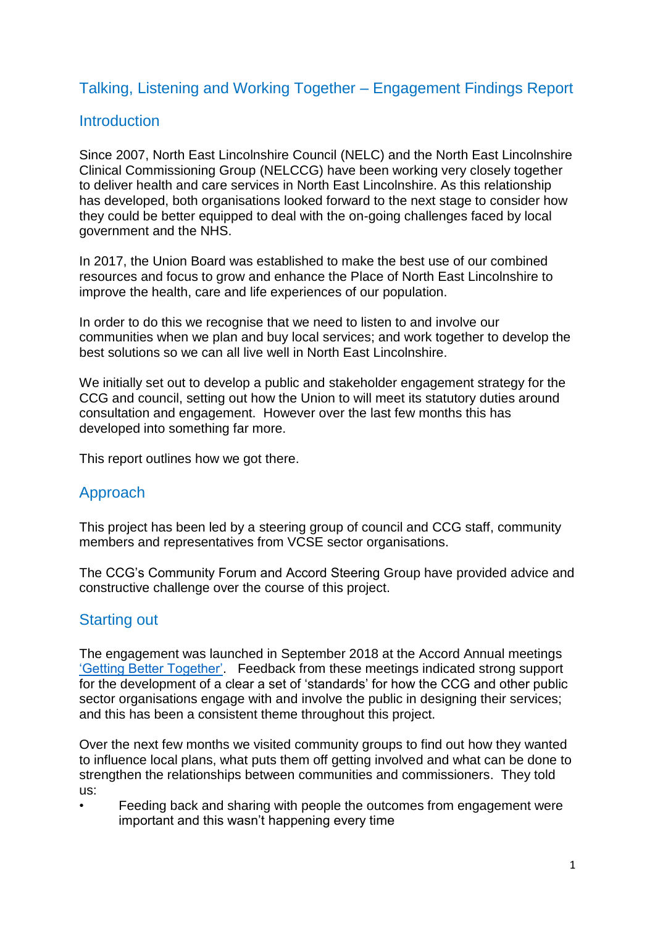## Talking, Listening and Working Together – Engagement Findings Report

## **Introduction**

Since 2007, North East Lincolnshire Council (NELC) and the North East Lincolnshire Clinical Commissioning Group (NELCCG) have been working very closely together to deliver health and care services in North East Lincolnshire. As this relationship has developed, both organisations looked forward to the next stage to consider how they could be better equipped to deal with the on-going challenges faced by local government and the NHS.

In 2017, the Union Board was established to make the best use of our combined resources and focus to grow and enhance the Place of North East Lincolnshire to improve the health, care and life experiences of our population.

In order to do this we recognise that we need to listen to and involve our communities when we plan and buy local services; and work together to develop the best solutions so we can all live well in North East Lincolnshire.

We initially set out to develop a public and stakeholder engagement strategy for the CCG and council, setting out how the Union to will meet its statutory duties around consultation and engagement. However over the last few months this has developed into something far more.

This report outlines how we got there.

## Approach

This project has been led by a steering group of council and CCG staff, community members and representatives from VCSE sector organisations.

The CCG's Community Forum and Accord Steering Group have provided advice and constructive challenge over the course of this project.

### Starting out

The engagement was launched in September 2018 at the Accord Annual meetings ['Getting Better Together'.](https://www.northeastlincolnshireccg.nhs.uk/data/uploads/presentations/amm-presentations/getting-better-together-feedback-report-8-nov-18.pdf) Feedback from these meetings indicated strong support for the development of a clear a set of 'standards' for how the CCG and other public sector organisations engage with and involve the public in designing their services; and this has been a consistent theme throughout this project.

Over the next few months we visited community groups to find out how they wanted to influence local plans, what puts them off getting involved and what can be done to strengthen the relationships between communities and commissioners. They told us:

• Feeding back and sharing with people the outcomes from engagement were important and this wasn't happening every time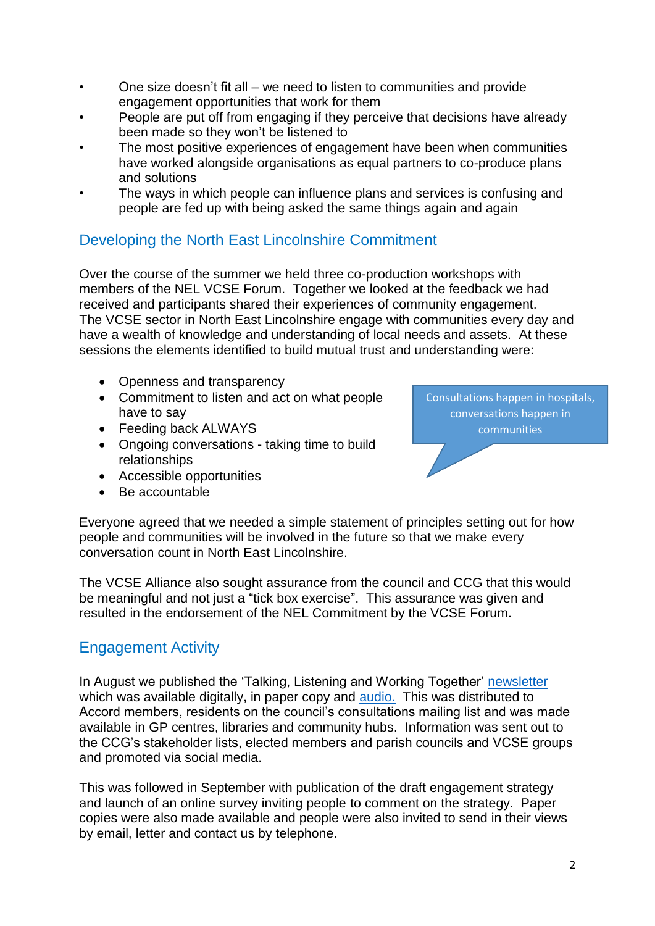- One size doesn't fit all we need to listen to communities and provide engagement opportunities that work for them
- People are put off from engaging if they perceive that decisions have already been made so they won't be listened to
- The most positive experiences of engagement have been when communities have worked alongside organisations as equal partners to co-produce plans and solutions
- The ways in which people can influence plans and services is confusing and people are fed up with being asked the same things again and again

## Developing the North East Lincolnshire Commitment

Over the course of the summer we held three co-production workshops with members of the NEL VCSE Forum. Together we looked at the feedback we had received and participants shared their experiences of community engagement. The VCSE sector in North East Lincolnshire engage with communities every day and have a wealth of knowledge and understanding of local needs and assets. At these sessions the elements identified to build mutual trust and understanding were:

- Openness and transparency
- Commitment to listen and act on what people have to say
- Feeding back ALWAYS
- Ongoing conversations taking time to build relationships
- Accessible opportunities
- Be accountable

Consultations happen in hospitals, conversations happen in communities

Everyone agreed that we needed a simple statement of principles setting out for how people and communities will be involved in the future so that we make every conversation count in North East Lincolnshire.

The VCSE Alliance also sought assurance from the council and CCG that this would be meaningful and not just a "tick box exercise". This assurance was given and resulted in the endorsement of the NEL Commitment by the VCSE Forum.

## Engagement Activity

In August we published the 'Talking, Listening and Working Together' [newsletter](https://nelccg-accord.co.uk/data/uploads/documents/newsletters/final2-tlwtnewsletter160819.pdf) which was available digitally, in paper copy and [audio.](https://soundcloud.com/user-612930938/talking-listening-working-together) This was distributed to Accord members, residents on the council's consultations mailing list and was made available in GP centres, libraries and community hubs. Information was sent out to the CCG's stakeholder lists, elected members and parish councils and VCSE groups and promoted via social media.

This was followed in September with publication of the draft engagement strategy and launch of an online survey inviting people to comment on the strategy. Paper copies were also made available and people were also invited to send in their views by email, letter and contact us by telephone.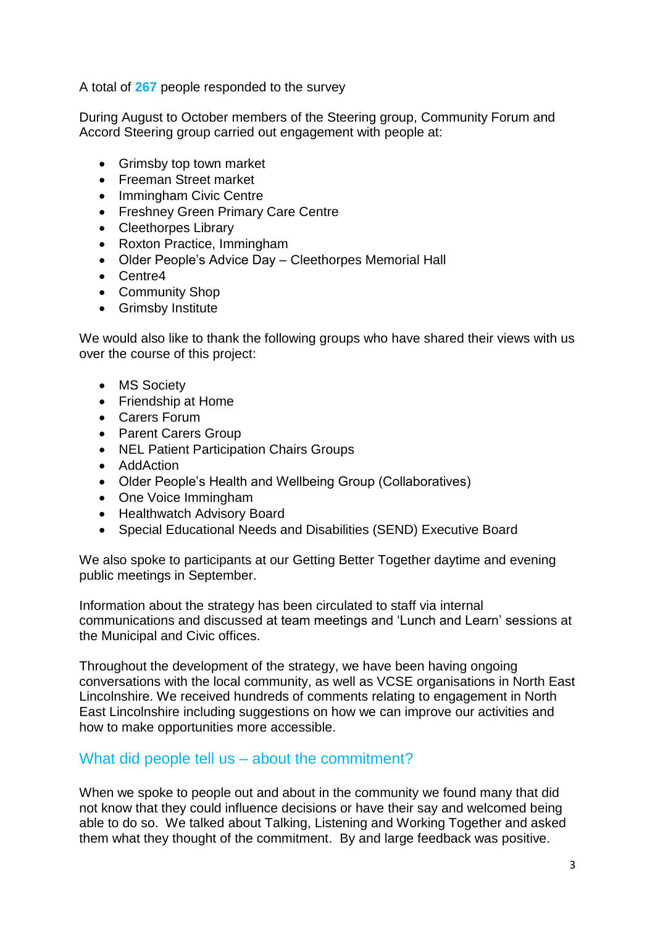A total of **267** people responded to the survey

During August to October members of the Steering group, Community Forum and Accord Steering group carried out engagement with people at:

- Grimsby top town market
- Freeman Street market
- Immingham Civic Centre
- Freshney Green Primary Care Centre
- Cleethorpes Library
- Roxton Practice, Immingham
- Older People's Advice Day Cleethorpes Memorial Hall
- Centre4
- Community Shop
- **•** Grimsby Institute

We would also like to thank the following groups who have shared their views with us over the course of this project:

- MS Society
- Friendship at Home
- Carers Forum
- Parent Carers Group
- NEL Patient Participation Chairs Groups
- AddAction
- Older People's Health and Wellbeing Group (Collaboratives)
- One Voice Immingham
- Healthwatch Advisory Board
- Special Educational Needs and Disabilities (SEND) Executive Board

We also spoke to participants at our Getting Better Together daytime and evening public meetings in September.

Information about the strategy has been circulated to staff via internal communications and discussed at team meetings and 'Lunch and Learn' sessions at the Municipal and Civic offices.

Throughout the development of the strategy, we have been having ongoing conversations with the local community, as well as VCSE organisations in North East Lincolnshire. We received hundreds of comments relating to engagement in North East Lincolnshire including suggestions on how we can improve our activities and how to make opportunities more accessible.

#### What did people tell us – about the commitment?

When we spoke to people out and about in the community we found many that did not know that they could influence decisions or have their say and welcomed being able to do so. We talked about Talking, Listening and Working Together and asked them what they thought of the commitment. By and large feedback was positive.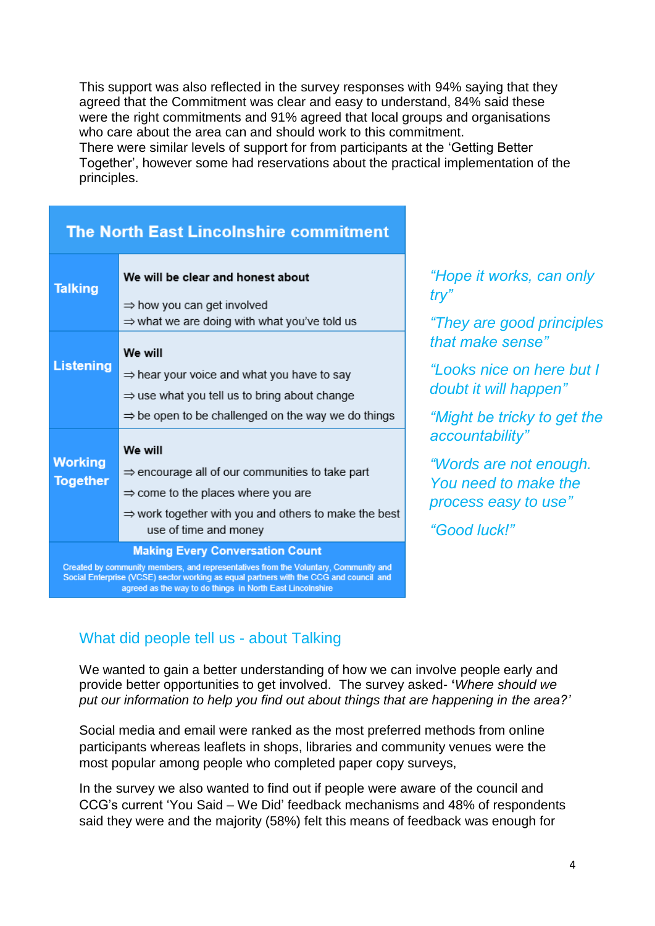This support was also reflected in the survey responses with 94% saying that they agreed that the Commitment was clear and easy to understand, 84% said these were the right commitments and 91% agreed that local groups and organisations who care about the area can and should work to this commitment. There were similar levels of support for from participants at the 'Getting Better Together', however some had reservations about the practical implementation of the principles.

| <b>Talking</b>                                                                                                              | We will be clear and honest about<br>$\Rightarrow$ how you can get involved<br>$\Rightarrow$ what we are doing with what you've told us                                                                               |  |  |
|-----------------------------------------------------------------------------------------------------------------------------|-----------------------------------------------------------------------------------------------------------------------------------------------------------------------------------------------------------------------|--|--|
| Listening                                                                                                                   | We will<br>$\Rightarrow$ hear your voice and what you have to say<br>$\Rightarrow$ use what you tell us to bring about change<br>$\Rightarrow$ be open to be challenged on the way we do things                       |  |  |
| <b>Working</b><br><b>Together</b>                                                                                           | We will<br>$\Rightarrow$ encourage all of our communities to take part<br>$\Rightarrow$ come to the places where you are<br>$\Rightarrow$ work together with you and others to make the best<br>use of time and money |  |  |
| <b>Making Every Conversation Count</b><br>Openhad by community mombors, and conceandations from the Unkurtany Community and |                                                                                                                                                                                                                       |  |  |

### **The North East Lincolnshire commitment**

Social Enterprise (VCSE) sector working as equal partners with the CCG and council and agreed as the way to do things in North East Lincolnshire

*"Hope it works, can only try"*

*"They are good principles that make sense"*

*"Looks nice on here but I doubt it will happen"*

*"Might be tricky to get the accountability"*

*"Words are not enough. You need to make the process easy to use"*

*"Good luck!"*

# What did people tell us - about Talking

We wanted to gain a better understanding of how we can involve people early and provide better opportunities to get involved. The survey asked- **'***Where should we put our information to help you find out about things that are happening in the area?'* 

Social media and email were ranked as the most preferred methods from online participants whereas leaflets in shops, libraries and community venues were the most popular among people who completed paper copy surveys,

In the survey we also wanted to find out if people were aware of the council and CCG's current 'You Said – We Did' feedback mechanisms and 48% of respondents said they were and the majority (58%) felt this means of feedback was enough for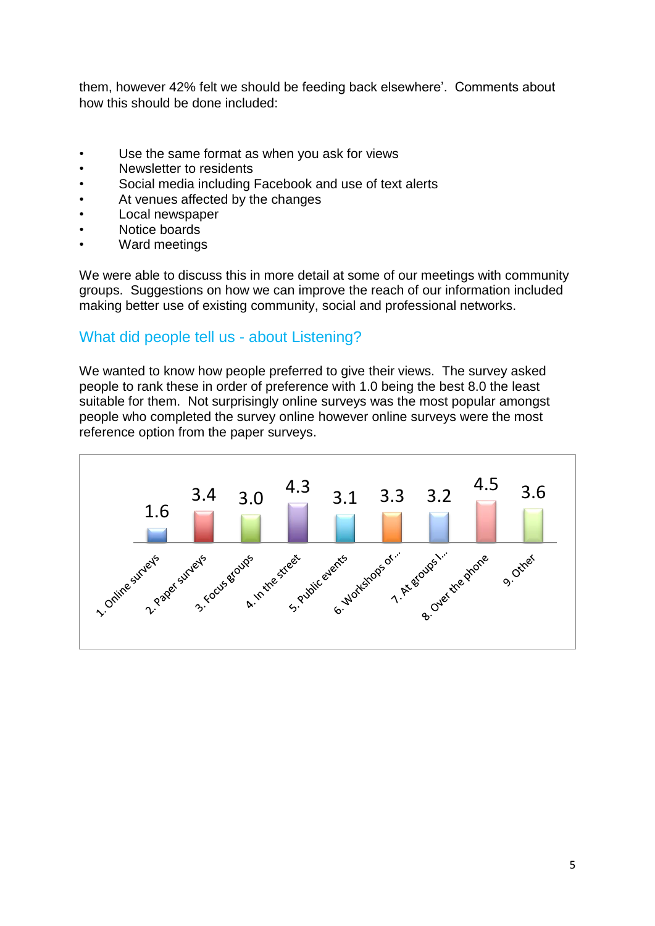them, however 42% felt we should be feeding back elsewhere'. Comments about how this should be done included:

- Use the same format as when you ask for views
- Newsletter to residents
- Social media including Facebook and use of text alerts
- At venues affected by the changes
- Local newspaper
- Notice boards
- Ward meetings

We were able to discuss this in more detail at some of our meetings with community groups. Suggestions on how we can improve the reach of our information included making better use of existing community, social and professional networks.

## What did people tell us - about Listening?

We wanted to know how people preferred to give their views. The survey asked people to rank these in order of preference with 1.0 being the best 8.0 the least suitable for them. Not surprisingly online surveys was the most popular amongst people who completed the survey online however online surveys were the most reference option from the paper surveys.

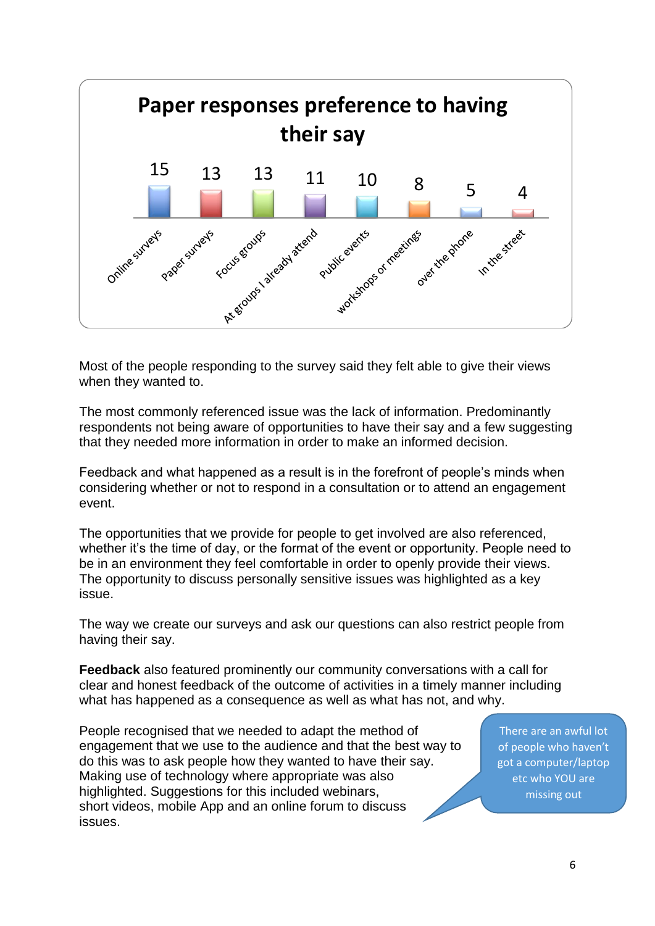

Most of the people responding to the survey said they felt able to give their views when they wanted to.

The most commonly referenced issue was the lack of information. Predominantly respondents not being aware of opportunities to have their say and a few suggesting that they needed more information in order to make an informed decision.

Feedback and what happened as a result is in the forefront of people's minds when considering whether or not to respond in a consultation or to attend an engagement event.

The opportunities that we provide for people to get involved are also referenced, whether it's the time of day, or the format of the event or opportunity. People need to be in an environment they feel comfortable in order to openly provide their views. The opportunity to discuss personally sensitive issues was highlighted as a key issue.

The way we create our surveys and ask our questions can also restrict people from having their say.

**Feedback** also featured prominently our community conversations with a call for clear and honest feedback of the outcome of activities in a timely manner including what has happened as a consequence as well as what has not, and why.

People recognised that we needed to adapt the method of engagement that we use to the audience and that the best way to do this was to ask people how they wanted to have their say. Making use of technology where appropriate was also highlighted. Suggestions for this included webinars, short videos, mobile App and an online forum to discuss issues.

There are an awful lot of people who haven't got a computer/laptop etc who YOU are missing out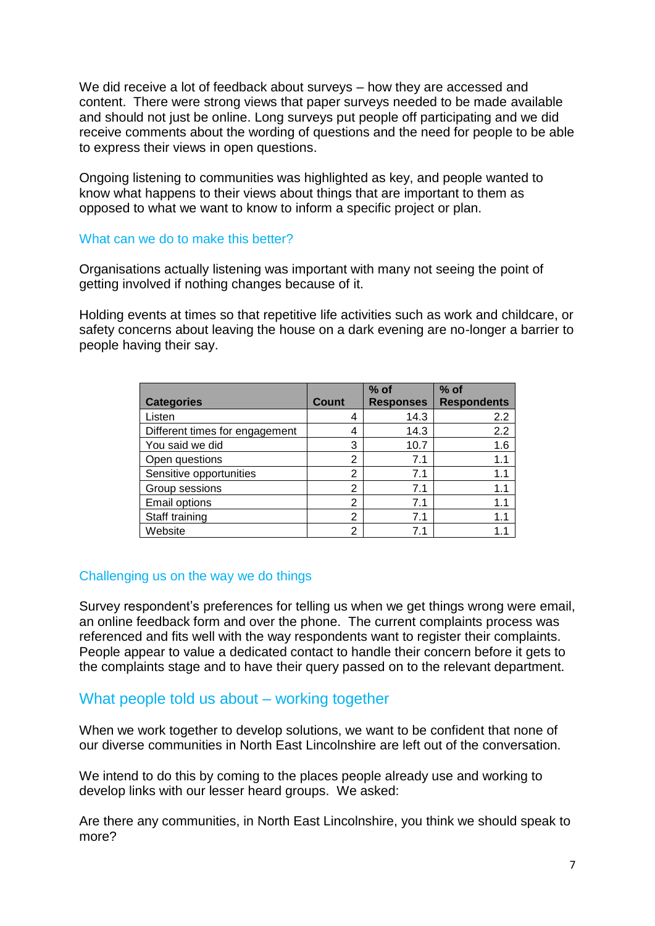We did receive a lot of feedback about surveys – how they are accessed and content. There were strong views that paper surveys needed to be made available and should not just be online. Long surveys put people off participating and we did receive comments about the wording of questions and the need for people to be able to express their views in open questions.

Ongoing listening to communities was highlighted as key, and people wanted to know what happens to their views about things that are important to them as opposed to what we want to know to inform a specific project or plan.

#### What can we do to make this better?

Organisations actually listening was important with many not seeing the point of getting involved if nothing changes because of it.

Holding events at times so that repetitive life activities such as work and childcare, or safety concerns about leaving the house on a dark evening are no-longer a barrier to people having their say.

|                                |                | $%$ of           | $%$ of             |
|--------------------------------|----------------|------------------|--------------------|
| <b>Categories</b>              | <b>Count</b>   | <b>Responses</b> | <b>Respondents</b> |
| Listen                         | 4              | 14.3             | 2.2                |
| Different times for engagement | 4              | 14.3             | 2.2                |
| You said we did                | 3              | 10.7             | 1.6                |
| Open questions                 | 2              | 7.1              | 1.1                |
| Sensitive opportunities        | $\overline{2}$ | 7.1              | 1.1                |
| Group sessions                 | 2              | 7.1              | 1.1                |
| Email options                  | $\overline{2}$ | 7.1              | 1.1                |
| Staff training                 | 2              | 7.1              | 1.1                |
| Website                        | 2              | 71               |                    |

#### Challenging us on the way we do things

Survey respondent's preferences for telling us when we get things wrong were email, an online feedback form and over the phone. The current complaints process was referenced and fits well with the way respondents want to register their complaints. People appear to value a dedicated contact to handle their concern before it gets to the complaints stage and to have their query passed on to the relevant department.

### What people told us about – working together

When we work together to develop solutions, we want to be confident that none of our diverse communities in North East Lincolnshire are left out of the conversation.

We intend to do this by coming to the places people already use and working to develop links with our lesser heard groups. We asked:

Are there any communities, in North East Lincolnshire, you think we should speak to more?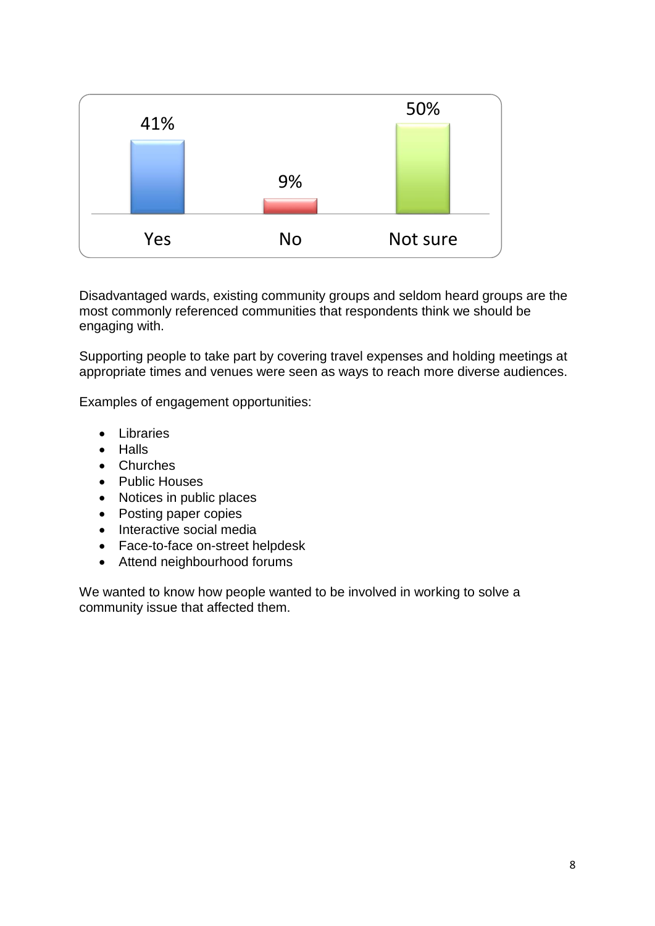

Disadvantaged wards, existing community groups and seldom heard groups are the most commonly referenced communities that respondents think we should be engaging with.

Supporting people to take part by covering travel expenses and holding meetings at appropriate times and venues were seen as ways to reach more diverse audiences.

Examples of engagement opportunities:

- Libraries
- Halls
- Churches
- Public Houses
- Notices in public places
- Posting paper copies
- Interactive social media
- Face-to-face on-street helpdesk
- Attend neighbourhood forums

We wanted to know how people wanted to be involved in working to solve a community issue that affected them.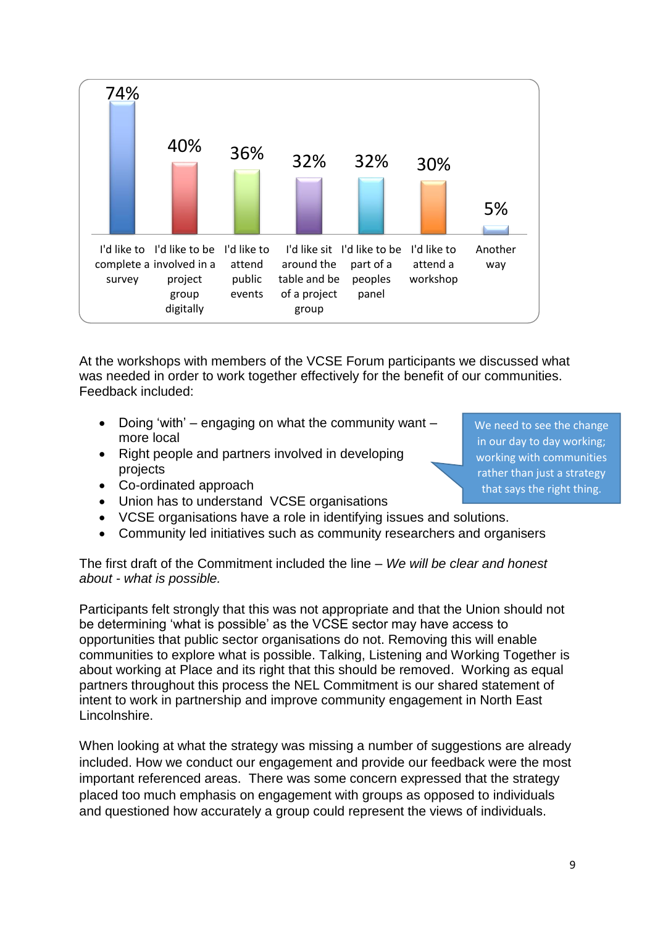

At the workshops with members of the VCSE Forum participants we discussed what was needed in order to work together effectively for the benefit of our communities. Feedback included:

- Doing 'with' engaging on what the community want more local
- Right people and partners involved in developing projects

We need to see the change in our day to day working; working with communities rather than just a strategy that says the right thing.

- Co-ordinated approach
- Union has to understand VCSE organisations
- VCSE organisations have a role in identifying issues and solutions.
- Community led initiatives such as community researchers and organisers

The first draft of the Commitment included the line – *We will be clear and honest about - what is possible.*

Participants felt strongly that this was not appropriate and that the Union should not be determining 'what is possible' as the VCSE sector may have access to opportunities that public sector organisations do not. Removing this will enable communities to explore what is possible. Talking, Listening and Working Together is about working at Place and its right that this should be removed. Working as equal partners throughout this process the NEL Commitment is our shared statement of intent to work in partnership and improve community engagement in North East Lincolnshire.

When looking at what the strategy was missing a number of suggestions are already included. How we conduct our engagement and provide our feedback were the most important referenced areas. There was some concern expressed that the strategy placed too much emphasis on engagement with groups as opposed to individuals and questioned how accurately a group could represent the views of individuals.